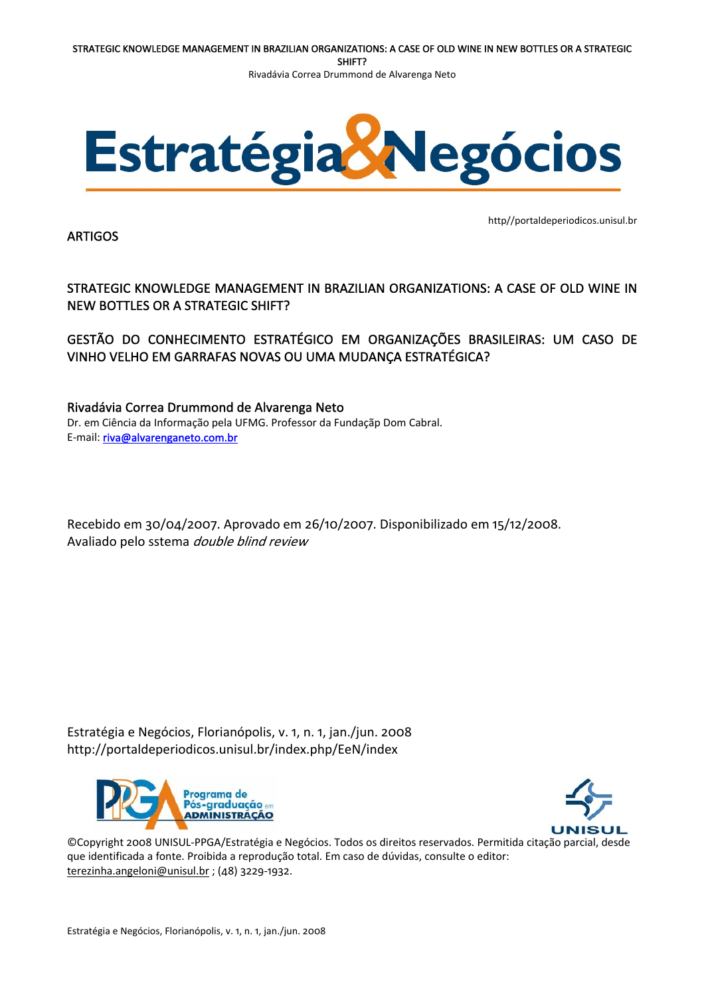

ARTIGOS

http//portaldeperiodicos.unisul.br

STRATEGIC KNOWLEDGE MANAGEMENT IN BRAZILIAN ORGANIZATIONS: A CASE OF OLD WINE IN NEW BOTTLES OR A STRATEGIC SHIFT?

GESTÃO DO CONHECIMENTO ESTRATÉGICO EM ORGANIZAÇÕES BRASILEIRAS: UM CASO DE VINHO VELHO EM GARRAFAS NOVAS OU UMA MUDANÇA ESTRATÉGICA?

Rivadávia Correa Drummond de Alvarenga Neto Dr. em Ciência da Informação pela UFMG. Professor da Fundaçãp Dom Cabral. E‐mail: [riva@alvarenganeto.com.br](mailto:riva@alvarenganeto.com.br)

Recebido em 30/04/2007. Aprovado em 26/10/2007. Disponibilizado em 15/12/2008. Avaliado pelo sstema double blind review

Estratégia e Negócios, Florianópolis, v. 1, n. 1, jan./jun. 2008 http://portaldeperiodicos.unisul.br/index.php/EeN/index





©Copyright 2008 UNISUL‐PPGA/Estratégia e Negócios. Todos os direitos reservados. Permitida citação parcial, desde que identificada a fonte. Proibida a reprodução total. Em caso de dúvidas, consulte o editor: [terezinha.angeloni@unisul.br](mailto:terezinha.angeloni@unisul.br) ; (48) 3229‐1932.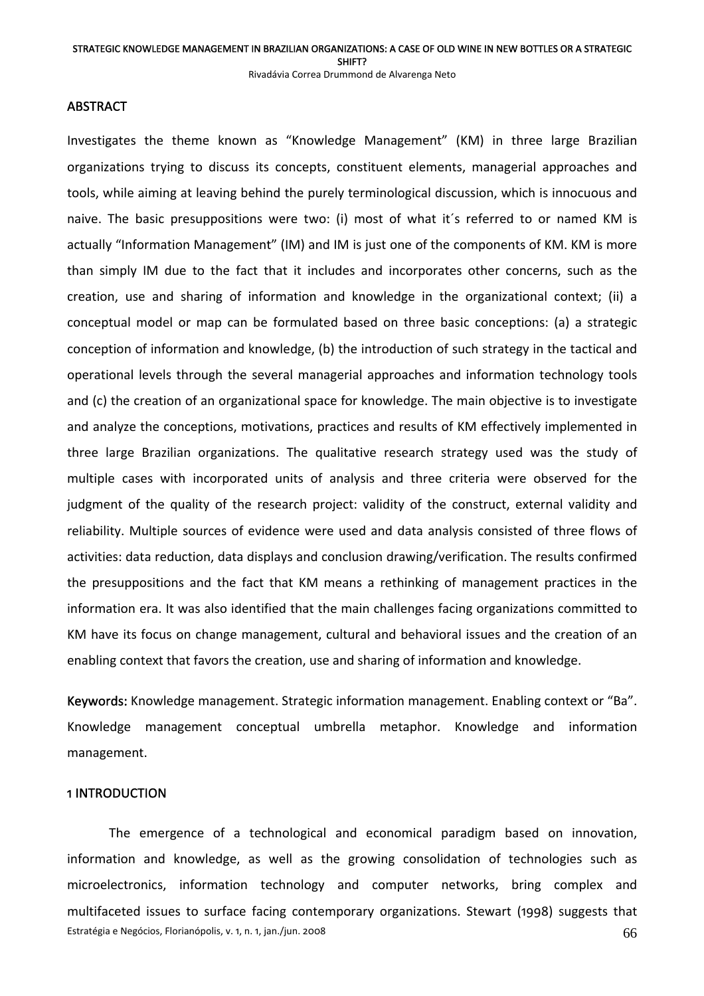Rivadávia Correa Drummond de Alvarenga Neto

### **ABSTRACT**

Investigates the theme known as "Knowledge Management" (KM) in three large Brazilian organizations trying to discuss its concepts, constituent elements, managerial approaches and tools, while aiming at leaving behind the purely terminological discussion, which is innocuous and naive. The basic presuppositions were two: (i) most of what it´s referred to or named KM is actually "Information Management" (IM) and IM is just one of the components of KM. KM is more than simply IM due to the fact that it includes and incorporates other concerns, such as the creation, use and sharing of information and knowledge in the organizational context; (ii) a conceptual model or map can be formulated based on three basic conceptions: (a) a strategic conception of information and knowledge, (b) the introduction of such strategy in the tactical and operational levels through the several managerial approaches and information technology tools and (c) the creation of an organizational space for knowledge. The main objective is to investigate and analyze the conceptions, motivations, practices and results of KM effectively implemented in three large Brazilian organizations. The qualitative research strategy used was the study of multiple cases with incorporated units of analysis and three criteria were observed for the judgment of the quality of the research project: validity of the construct, external validity and reliability. Multiple sources of evidence were used and data analysis consisted of three flows of activities: data reduction, data displays and conclusion drawing/verification. The results confirmed the presuppositions and the fact that KM means a rethinking of management practices in the information era. It was also identified that the main challenges facing organizations committed to KM have its focus on change management, cultural and behavioral issues and the creation of an enabling context that favors the creation, use and sharing of information and knowledge.

Keywords: Knowledge management. Strategic information management. Enabling context or "Ba". Knowledge management conceptual umbrella metaphor. Knowledge and information management.

### 1 INTRODUCTION

Estratégia e Negócios, Florianópolis, v. 1, n. 1, jan./jun. 2008 **666 en 1997.** Estratégia e Negócios, Florianópolis, v. 1, n. 1, jan./jun. 2008 The emergence of a technological and economical paradigm based on innovation, information and knowledge, as well as the growing consolidation of technologies such as microelectronics, information technology and computer networks, bring complex and multifaceted issues to surface facing contemporary organizations. Stewart (1998) suggests that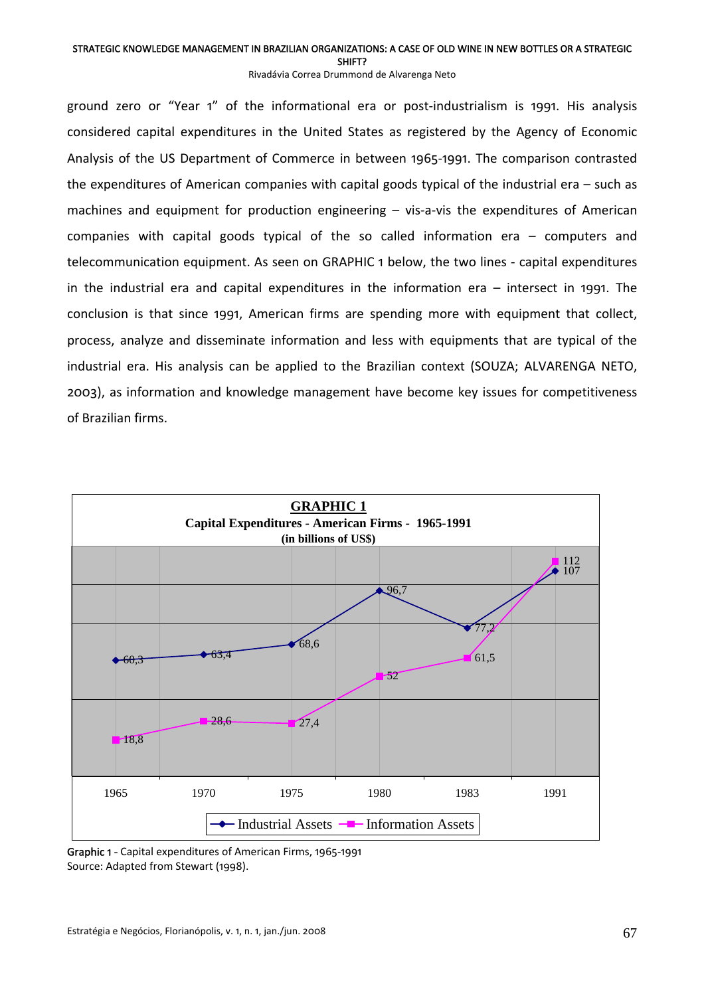SHIFT?

Rivadávia Correa Drummond de Alvarenga Neto

ground zero or "Year 1" of the informational era or post-industrialism is 1991. His analysis considered capital expenditures in the United States as registered by the Agency of Economic Analysis of the US Department of Commerce in between 1965‐1991. The comparison contrasted the expenditures of American companies with capital goods typical of the industrial era – such as machines and equipment for production engineering – vis-a-vis the expenditures of American companies with capital goods typical of the so called information era – computers and telecommunication equipment. As seen on GRAPHIC 1 below, the two lines ‐ capital expenditures in the industrial era and capital expenditures in the information era – intersect in 1991. The conclusion is that since 1991, American firms are spending more with equipment that collect, process, analyze and disseminate information and less with equipments that are typical of the industrial era. His analysis can be applied to the Brazilian context (SOUZA; ALVARENGA NETO, 2003), as information and knowledge management have become key issues for competitiveness of Brazilian firms.



 Graphic <sup>1</sup> ‐ Capital expenditures of American Firms, <sup>1965</sup>‐<sup>1991</sup> Source: Adapted from Stewart (1998).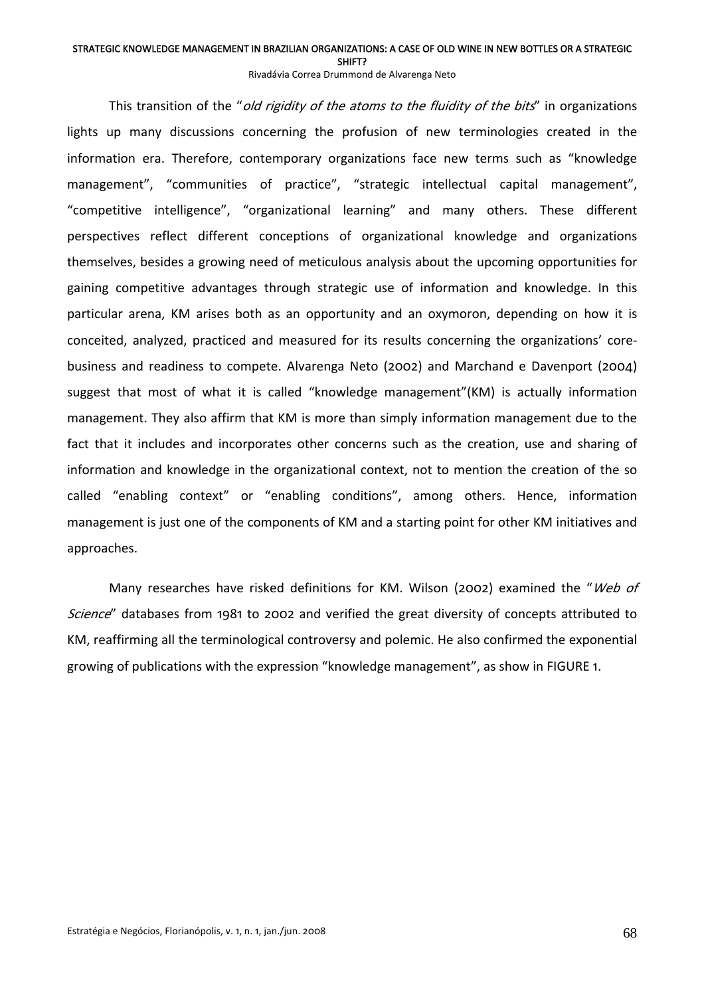SHIFT?

Rivadávia Correa Drummond de Alvarenga Neto

This transition of the "*old rigidity of the atoms to the fluidity of the bits*" in organizations lights up many discussions concerning the profusion of new terminologies created in the information era. Therefore, contemporary organizations face new terms such as "knowledge management", "communities of practice", "strategic intellectual capital management", "competitive intelligence", "organizational learning" and many others. These different perspectives reflect different conceptions of organizational knowledge and organizations themselves, besides a growing need of meticulous analysis about the upcoming opportunities for gaining competitive advantages through strategic use of information and knowledge. In this particular arena, KM arises both as an opportunity and an oxymoron, depending on how it is conceited, analyzed, practiced and measured for its results concerning the organizations' core‐ business and readiness to compete. Alvarenga Neto (2002) and Marchand e Davenport (2004) suggest that most of what it is called "knowledge management"(KM) is actually information management. They also affirm that KM is more than simply information management due to the fact that it includes and incorporates other concerns such as the creation, use and sharing of information and knowledge in the organizational context, not to mention the creation of the so called "enabling context" or "enabling conditions", among others. Hence, information management is just one of the components of KM and a starting point for other KM initiatives and approaches.

Many researches have risked definitions for KM. Wilson (2002) examined the "Web of Science" databases from 1981 to 2002 and verified the great diversity of concepts attributed to KM, reaffirming all the terminological controversy and polemic. He also confirmed the exponential growing of publications with the expression "knowledge management", as show in FIGURE 1.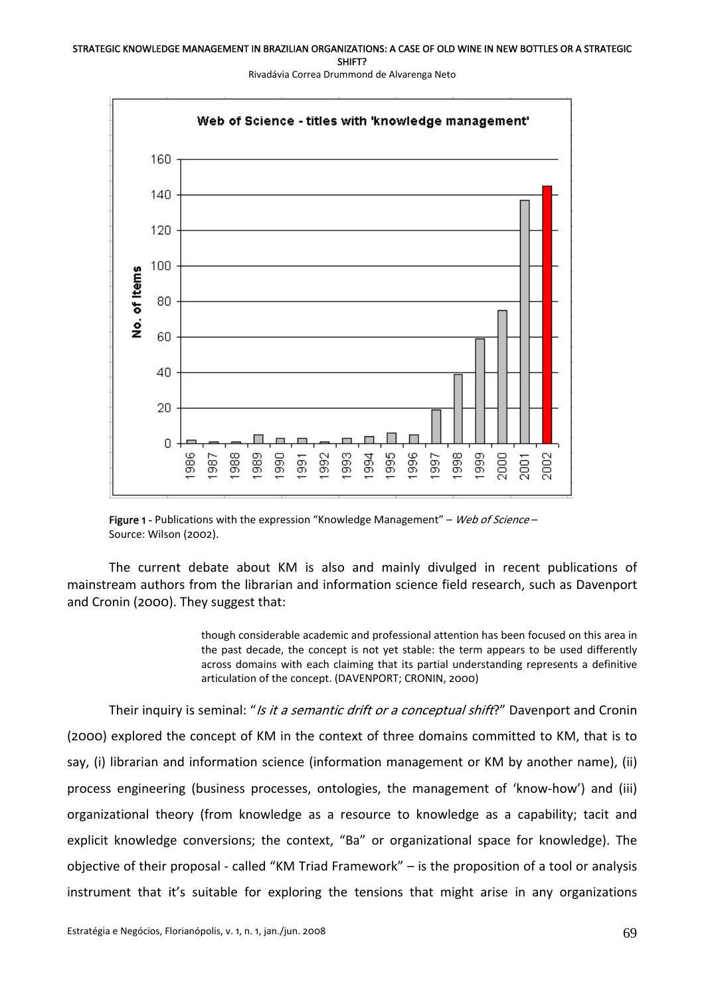

Rivadávia Correa Drummond de Alvarenga Neto

Figure 1 - Publications with the expression "Knowledge Management" – Web of Science – Source: Wilson (2002).

The current debate about KM is also and mainly divulged in recent publications of mainstream authors from the librarian and information science field research, such as Davenport and Cronin (2000). They suggest that:

> though considerable academic and professional attention has been focused on this area in the past decade, the concept is not yet stable: the term appears to be used differently across domains with each claiming that its partial understanding represents a definitive articulation of the concept. (DAVENPORT; CRONIN, 2000)

Their inquiry is seminal: "Is it a semantic drift or a conceptual shift?" Davenport and Cronin (2000) explored the concept of KM in the context of three domains committed to KM, that is to say, (i) librarian and information science (information management or KM by another name), (ii) process engineering (business processes, ontologies, the management of 'know‐how') and (iii) organizational theory (from knowledge as a resource to knowledge as a capability; tacit and explicit knowledge conversions; the context, "Ba" or organizational space for knowledge). The objective of their proposal ‐ called "KM Triad Framework" – is the proposition of a tool or analysis instrument that it's suitable for exploring the tensions that might arise in any organizations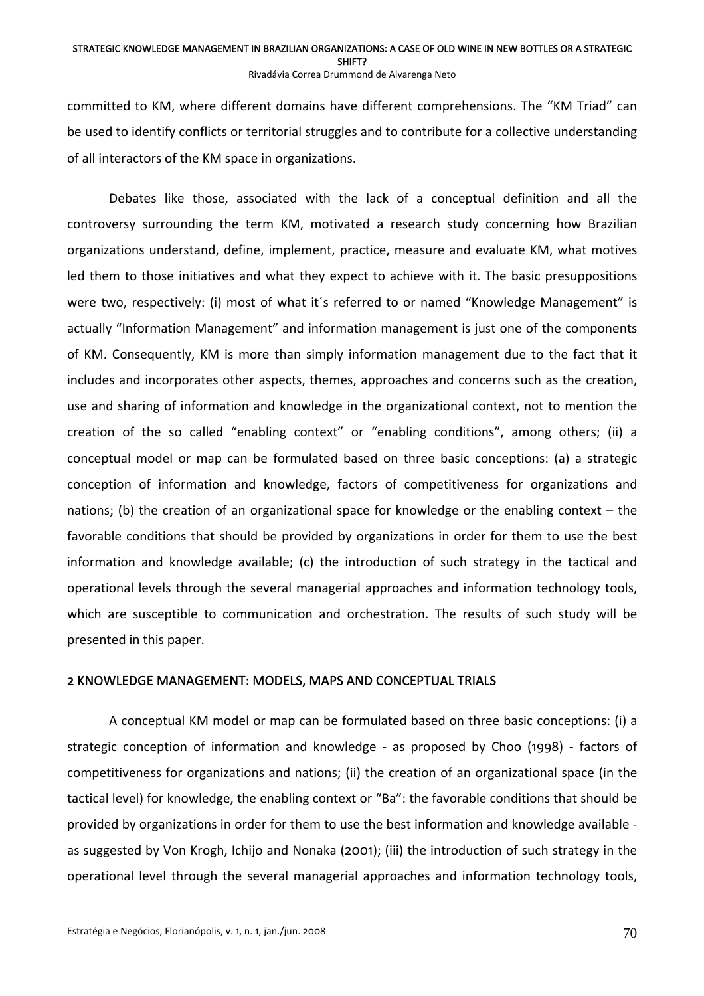Rivadávia Correa Drummond de Alvarenga Neto

committed to KM, where different domains have different comprehensions. The "KM Triad" can be used to identify conflicts or territorial struggles and to contribute for a collective understanding of all interactors of the KM space in organizations.

Debates like those, associated with the lack of a conceptual definition and all the controversy surrounding the term KM, motivated a research study concerning how Brazilian organizations understand, define, implement, practice, measure and evaluate KM, what motives led them to those initiatives and what they expect to achieve with it. The basic presuppositions were two, respectively: (i) most of what it´s referred to or named "Knowledge Management" is actually "Information Management" and information management is just one of the components of KM. Consequently, KM is more than simply information management due to the fact that it includes and incorporates other aspects, themes, approaches and concerns such as the creation, use and sharing of information and knowledge in the organizational context, not to mention the creation of the so called "enabling context" or "enabling conditions", among others; (ii) a conceptual model or map can be formulated based on three basic conceptions: (a) a strategic conception of information and knowledge, factors of competitiveness for organizations and nations; (b) the creation of an organizational space for knowledge or the enabling context – the favorable conditions that should be provided by organizations in order for them to use the best information and knowledge available; (c) the introduction of such strategy in the tactical and operational levels through the several managerial approaches and information technology tools, which are susceptible to communication and orchestration. The results of such study will be presented in this paper.

# 2 KNOWLEDGE MANAGEMENT: MODELS, MAPS AND CONCEPTUAL TRIALS

 A conceptual KM model or map can be formulated based on three basic conceptions: (i) a strategic conception of information and knowledge ‐ as proposed by Choo (1998) ‐ factors of competitiveness for organizations and nations; (ii) the creation of an organizational space (in the tactical level) for knowledge, the enabling context or "Ba": the favorable conditions that should be provided by organizations in order for them to use the best information and knowledge available ‐ as suggested by Von Krogh, Ichijo and Nonaka (2001); (iii) the introduction of such strategy in the operational level through the several managerial approaches and information technology tools,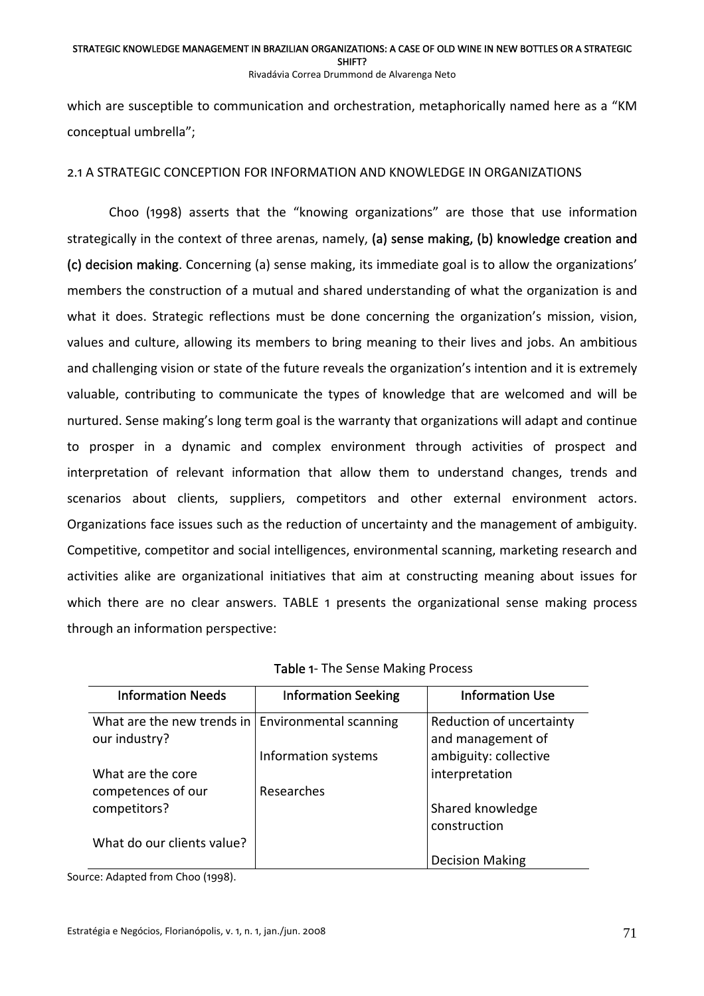#### STRATEGIC KNOWLEDGE MANAGEMENT IN BRAZILIAN ORGANIZATIONS: A CASE OF OLD WINE IN NEW BOTTLES OR A STRATEGIC SHIFT? Rivadávia Correa Drummond de Alvarenga Neto

which are susceptible to communication and orchestration, metaphorically named here as a "KM conceptual umbrella";

# 2.1 A STRATEGIC CONCEPTION FOR INFORMATION AND KNOWLEDGE IN ORGANIZATIONS

Choo (1998) asserts that the "knowing organizations" are those that use information strategically in the context of three arenas, namely, (a) sense making, (b) knowledge creation and (c) decision making. Concerning (a) sense making, its immediate goal is to allow the organizations' members the construction of a mutual and shared understanding of what the organization is and what it does. Strategic reflections must be done concerning the organization's mission, vision, values and culture, allowing its members to bring meaning to their lives and jobs. An ambitious and challenging vision or state of the future reveals the organization's intention and it is extremely valuable, contributing to communicate the types of knowledge that are welcomed and will be nurtured. Sense making's long term goal is the warranty that organizations will adapt and continue to prosper in a dynamic and complex environment through activities of prospect and interpretation of relevant information that allow them to understand changes, trends and scenarios about clients, suppliers, competitors and other external environment actors. Organizations face issues such as the reduction of uncertainty and the management of ambiguity. Competitive, competitor and social intelligences, environmental scanning, marketing research and activities alike are organizational initiatives that aim at constructing meaning about issues for which there are no clear answers. TABLE 1 presents the organizational sense making process through an information perspective:

| <b>Information Needs</b>                                             | <b>Information Seeking</b> | <b>Information Use</b>                        |
|----------------------------------------------------------------------|----------------------------|-----------------------------------------------|
| What are the new trends in   Environmental scanning<br>our industry? |                            | Reduction of uncertainty<br>and management of |
|                                                                      | Information systems        | ambiguity: collective                         |
| What are the core                                                    |                            | interpretation                                |
| competences of our                                                   | Researches                 |                                               |
| competitors?                                                         |                            | Shared knowledge                              |
|                                                                      |                            | construction                                  |
| What do our clients value?                                           |                            |                                               |
|                                                                      |                            | <b>Decision Making</b>                        |

Source: Adapted from Choo (1998).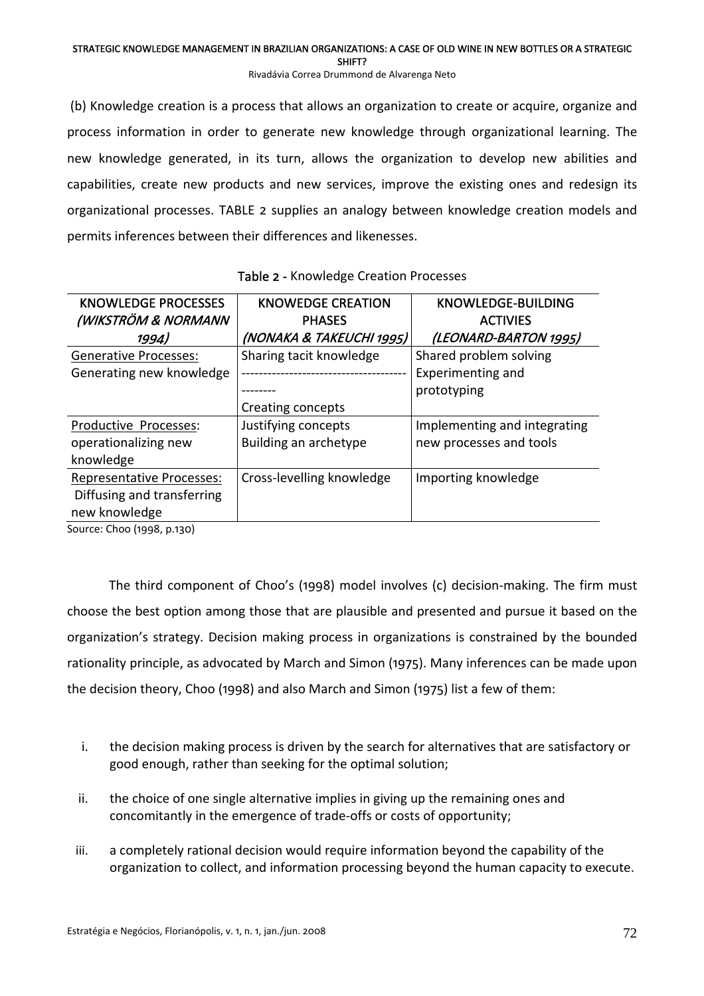SHIFT?

Rivadávia Correa Drummond de Alvarenga Neto

(b) Knowledge creation is a process that allows an organization to create or acquire, organize and process information in order to generate new knowledge through organizational learning. The new knowledge generated, in its turn, allows the organization to develop new abilities and capabilities, create new products and new services, improve the existing ones and redesign its organizational processes. TABLE 2 supplies an analogy between knowledge creation models and permits inferences between their differences and likenesses.

| <b>KNOWLEDGE PROCESSES</b><br>(WIKSTRÖM & NORMANN | <b>KNOWEDGE CREATION</b><br><b>PHASES</b> | <b>KNOWLEDGE-BUILDING</b><br><b>ACTIVIES</b> |
|---------------------------------------------------|-------------------------------------------|----------------------------------------------|
| 1994)                                             | (NONAKA & TAKEUCHI 1995)                  | (LEONARD-BARTON 1995)                        |
| <b>Generative Processes:</b>                      | Sharing tacit knowledge                   | Shared problem solving                       |
| Generating new knowledge                          |                                           | <b>Experimenting and</b>                     |
|                                                   |                                           | prototyping                                  |
|                                                   | Creating concepts                         |                                              |
| Productive Processes:                             | Justifying concepts                       | Implementing and integrating                 |
| operationalizing new                              | Building an archetype                     | new processes and tools                      |
| knowledge                                         |                                           |                                              |
| <b>Representative Processes:</b>                  | Cross-levelling knowledge                 | Importing knowledge                          |
| Diffusing and transferring                        |                                           |                                              |
| new knowledge                                     |                                           |                                              |

| Table 2 - Knowledge Creation Processes |
|----------------------------------------|
|----------------------------------------|

Source: Choo (1998, p.130)

The third component of Choo's (1998) model involves (c) decision‐making. The firm must choose the best option among those that are plausible and presented and pursue it based on the organization's strategy. Decision making process in organizations is constrained by the bounded rationality principle, as advocated by March and Simon (1975). Many inferences can be made upon the decision theory, Choo (1998) and also March and Simon (1975) list a few of them:

- i. the decision making process is driven by the search for alternatives that are satisfactory or good enough, rather than seeking for the optimal solution;
- ii. the choice of one single alternative implies in giving up the remaining ones and concomitantly in the emergence of trade‐offs or costs of opportunity;
- iii. a completely rational decision would require information beyond the capability of the organization to collect, and information processing beyond the human capacity to execute.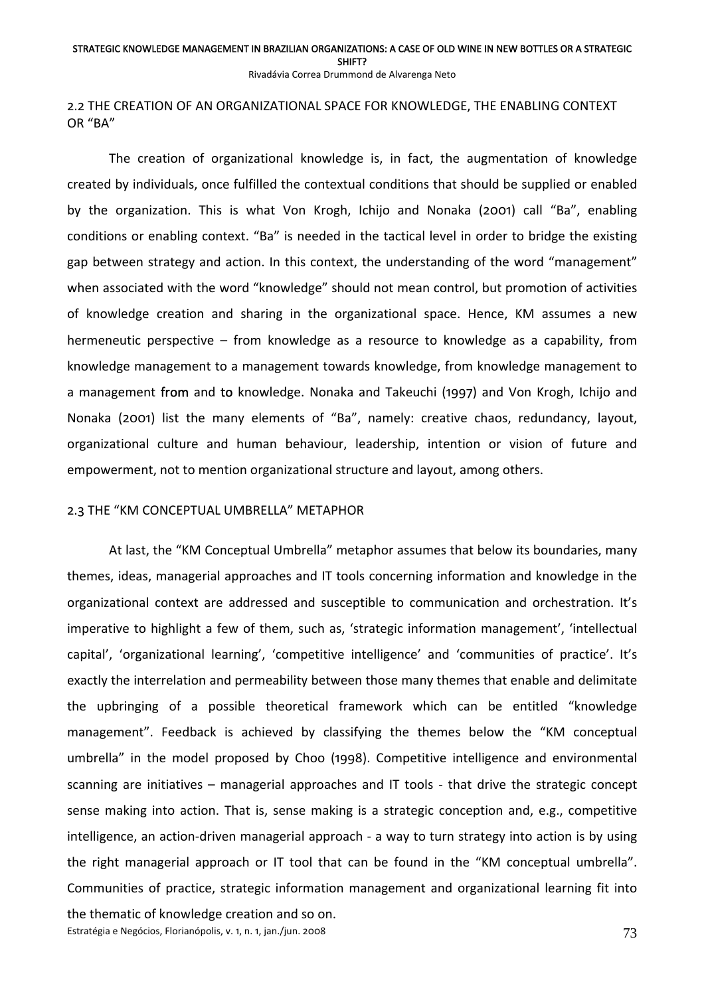Rivadávia Correa Drummond de Alvarenga Neto

## 2.2 THE CREATION OF AN ORGANIZATIONAL SPACE FOR KNOWLEDGE, THE ENABLING CONTEXT OR "BA"

The creation of organizational knowledge is, in fact, the augmentation of knowledge created by individuals, once fulfilled the contextual conditions that should be supplied or enabled by the organization. This is what Von Krogh, Ichijo and Nonaka (2001) call "Ba", enabling conditions or enabling context. "Ba" is needed in the tactical level in order to bridge the existing gap between strategy and action. In this context, the understanding of the word "management" when associated with the word "knowledge" should not mean control, but promotion of activities of knowledge creation and sharing in the organizational space. Hence, KM assumes a new hermeneutic perspective – from knowledge as a resource to knowledge as a capability, from knowledge management to a management towards knowledge, from knowledge management to a management from and to knowledge. Nonaka and Takeuchi (1997) and Von Krogh, Ichijo and Nonaka (2001) list the many elements of "Ba", namely: creative chaos, redundancy, layout, organizational culture and human behaviour, leadership, intention or vision of future and empowerment, not to mention organizational structure and layout, among others.

### 2.3 THE "KM CONCEPTUAL UMBRELLA" METAPHOR

At last, the "KM Conceptual Umbrella" metaphor assumes that below its boundaries, many themes, ideas, managerial approaches and IT tools concerning information and knowledge in the organizational context are addressed and susceptible to communication and orchestration. It's imperative to highlight a few of them, such as, 'strategic information management', 'intellectual capital', 'organizational learning', 'competitive intelligence' and 'communities of practice'. It's exactly the interrelation and permeability between those many themes that enable and delimitate the upbringing of a possible theoretical framework which can be entitled "knowledge management". Feedback is achieved by classifying the themes below the "KM conceptual umbrella" in the model proposed by Choo (1998). Competitive intelligence and environmental scanning are initiatives – managerial approaches and IT tools - that drive the strategic concept sense making into action. That is, sense making is a strategic conception and, e.g., competitive intelligence, an action‐driven managerial approach ‐ a way to turn strategy into action is by using the right managerial approach or IT tool that can be found in the "KM conceptual umbrella". Communities of practice, strategic information management and organizational learning fit into the thematic of knowledge creation and so on.

Estratégia e Negócios, Florianópolis, v. 1, n. 1, jan./jun. 2008 **73** and the strategia e Negócios, Florianópolis, v. 1, n. 1, jan./jun. 2008 and the strategies of the strategies of the strategies of the strategies of the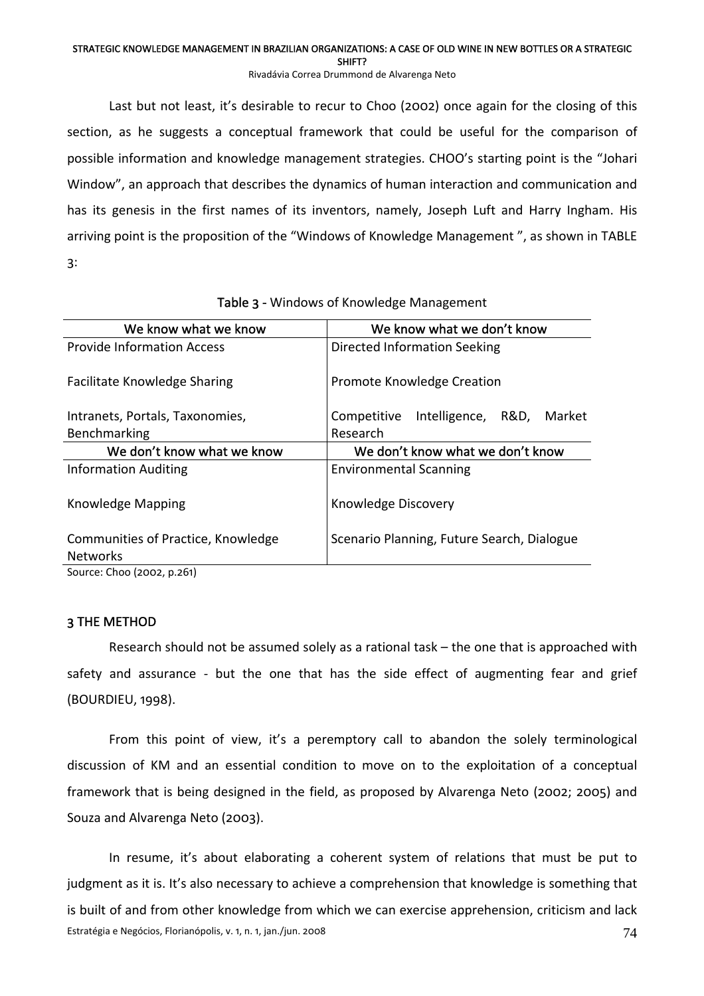Rivadávia Correa Drummond de Alvarenga Neto

Last but not least, it's desirable to recur to Choo (2002) once again for the closing of this section, as he suggests a conceptual framework that could be useful for the comparison of possible information and knowledge management strategies. CHOO's starting point is the "Johari Window", an approach that describes the dynamics of human interaction and communication and has its genesis in the first names of its inventors, namely, Joseph Luft and Harry Ingham. His arriving point is the proposition of the "Windows of Knowledge Management ", as shown in TABLE 3:

| We know what we know                                  | We know what we don't know                  |
|-------------------------------------------------------|---------------------------------------------|
| <b>Provide Information Access</b>                     | Directed Information Seeking                |
| <b>Facilitate Knowledge Sharing</b>                   | Promote Knowledge Creation                  |
| Intranets, Portals, Taxonomies,                       | Intelligence, R&D,<br>Competitive<br>Market |
| Benchmarking                                          | Research                                    |
| We don't know what we know                            | We don't know what we don't know            |
| <b>Information Auditing</b>                           | <b>Environmental Scanning</b>               |
| Knowledge Mapping                                     | Knowledge Discovery                         |
| Communities of Practice, Knowledge<br><b>Networks</b> | Scenario Planning, Future Search, Dialogue  |
| Source: Choo (2002, p.261)                            |                                             |

Table 3 - Windows of Knowledge Management

# 3 THE METHOD

Research should not be assumed solely as a rational task – the one that is approached with safety and assurance - but the one that has the side effect of augmenting fear and grief (BOURDIEU, 1998).

From this point of view, it's a peremptory call to abandon the solely terminological discussion of KM and an essential condition to move on to the exploitation of a conceptual framework that is being designed in the field, as proposed by Alvarenga Neto (2002; 2005) and Souza and Alvarenga Neto (2003).

Estratégia e Negócios, Florianópolis, v. 1, n. 1, jan./jun. 2008 **74** and 2008 74 In resume, it's about elaborating a coherent system of relations that must be put to judgment as it is. It's also necessary to achieve a comprehension that knowledge is something that is built of and from other knowledge from which we can exercise apprehension, criticism and lack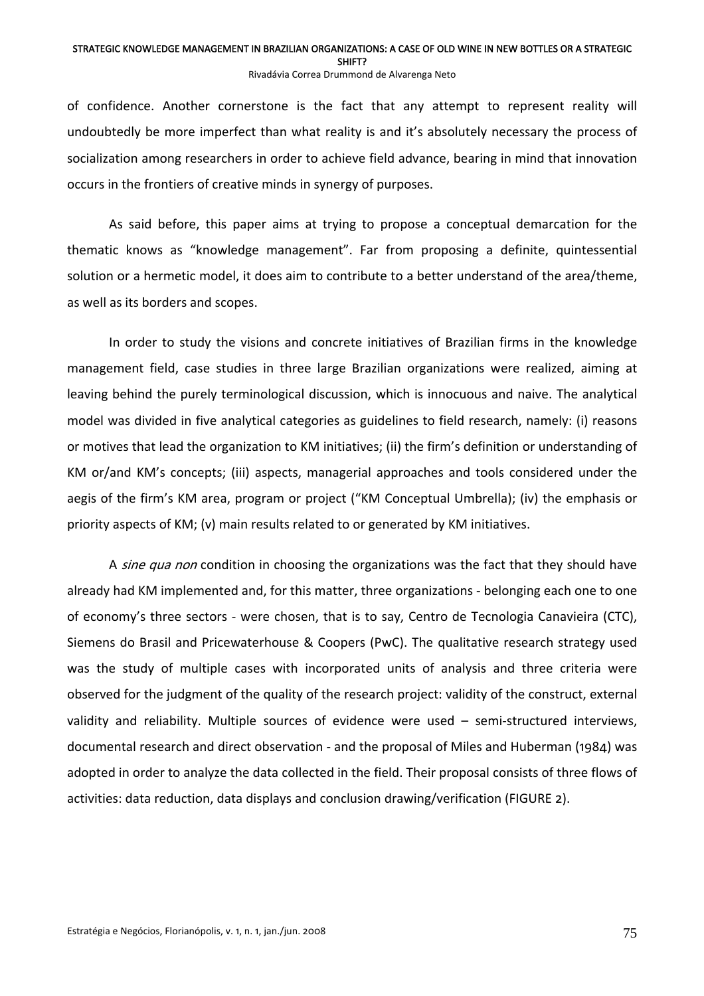#### STRATEGIC KNOWLEDGE MANAGEMENT IN BRAZILIAN ORGANIZATIONS: A CASE OF OLD WINE IN NEW BOTTLES OR A STRATEGIC SHIFT? Rivadávia Correa Drummond de Alvarenga Neto

of confidence. Another cornerstone is the fact that any attempt to represent reality will undoubtedly be more imperfect than what reality is and it's absolutely necessary the process of socialization among researchers in order to achieve field advance, bearing in mind that innovation occurs in the frontiers of creative minds in synergy of purposes.

As said before, this paper aims at trying to propose a conceptual demarcation for the thematic knows as "knowledge management". Far from proposing a definite, quintessential solution or a hermetic model, it does aim to contribute to a better understand of the area/theme, as well as its borders and scopes.

In order to study the visions and concrete initiatives of Brazilian firms in the knowledge management field, case studies in three large Brazilian organizations were realized, aiming at leaving behind the purely terminological discussion, which is innocuous and naive. The analytical model was divided in five analytical categories as guidelines to field research, namely: (i) reasons or motives that lead the organization to KM initiatives; (ii) the firm's definition or understanding of KM or/and KM's concepts; (iii) aspects, managerial approaches and tools considered under the aegis of the firm's KM area, program or project ("KM Conceptual Umbrella); (iv) the emphasis or priority aspects of KM; (v) main results related to or generated by KM initiatives.

A sine qua non condition in choosing the organizations was the fact that they should have already had KM implemented and, for this matter, three organizations ‐ belonging each one to one of economy's three sectors ‐ were chosen, that is to say, Centro de Tecnologia Canavieira (CTC), Siemens do Brasil and Pricewaterhouse & Coopers (PwC). The qualitative research strategy used was the study of multiple cases with incorporated units of analysis and three criteria were observed for the judgment of the quality of the research project: validity of the construct, external validity and reliability. Multiple sources of evidence were used – semi‐structured interviews, documental research and direct observation ‐ and the proposal of Miles and Huberman (1984) was adopted in order to analyze the data collected in the field. Their proposal consists of three flows of activities: data reduction, data displays and conclusion drawing/verification (FIGURE 2).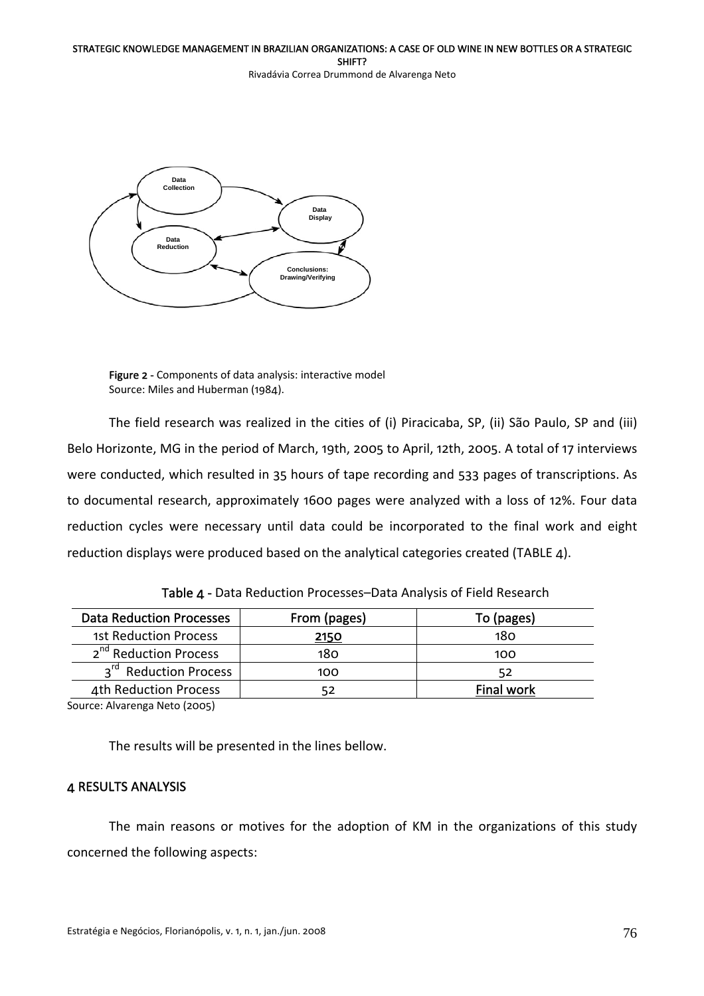Rivadávia Correa Drummond de Alvarenga Neto



Figure 2 - Components of data analysis: interactive model Source: Miles and Huberman (1984).

The field research was realized in the cities of (i) Piracicaba, SP, (ii) São Paulo, SP and (iii) Belo Horizonte, MG in the period of March, 19th, 2005 to April, 12th, 2005. A total of 17 interviews were conducted, which resulted in 35 hours of tape recording and 533 pages of transcriptions. As to documental research, approximately 1600 pages were analyzed with a loss of 12%. Four data reduction cycles were necessary until data could be incorporated to the final work and eight reduction displays were produced based on the analytical categories created (TABLE 4).

| <b>Data Reduction Processes</b>   | From (pages) | To (pages)        |
|-----------------------------------|--------------|-------------------|
| 1st Reduction Process             | 2150         | 180               |
| 2 <sup>nd</sup> Reduction Process | 180          | 100               |
| 3rd Reduction Process             | 100          | 52                |
| 4th Reduction Process             |              | <b>Final work</b> |

Table 4 ‐ Data Reduction Processes–Data Analysis of Field Research

Source: Alvarenga Neto (2005)

The results will be presented in the lines bellow.

# 4 RESULTS ANALYSIS

The main reasons or motives for the adoption of KM in the organizations of this study concerned the following aspects: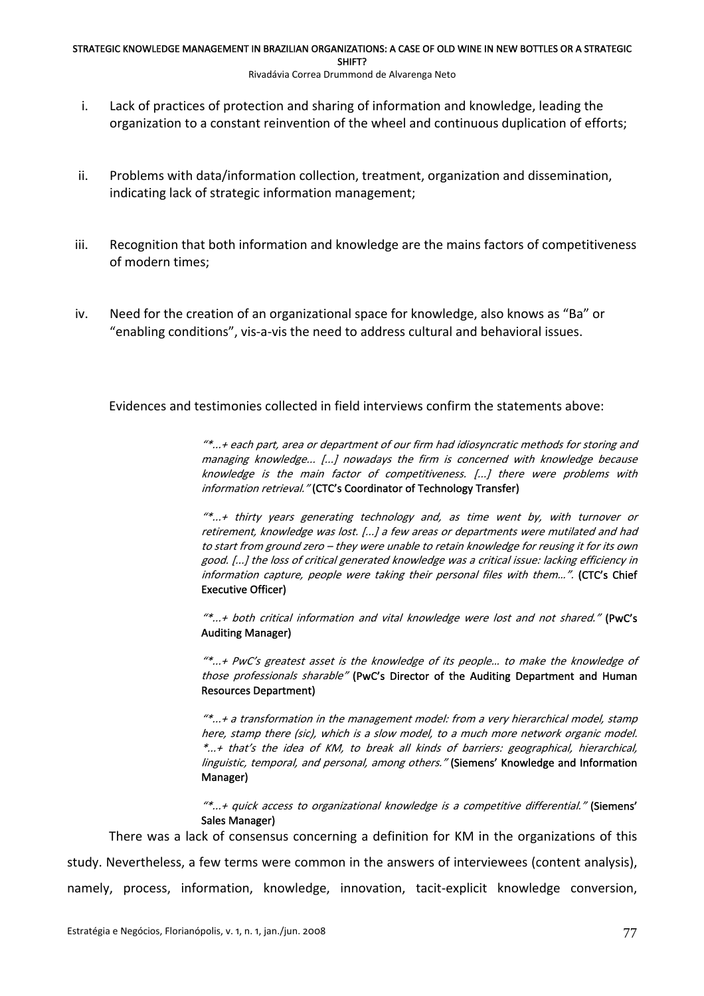### Rivadávia Correa Drummond de Alvarenga Neto

- i. Lack of practices of protection and sharing of information and knowledge, leading the organization to a constant reinvention of the wheel and continuous duplication of efforts;
- ii. Problems with data/information collection, treatment, organization and dissemination, indicating lack of strategic information management;
- iii. Recognition that both information and knowledge are the mains factors of competitiveness of modern times;
- iv. Need for the creation of an organizational space for knowledge, also knows as "Ba" or "enabling conditions", vis‐a‐vis the need to address cultural and behavioral issues.

Evidences and testimonies collected in field interviews confirm the statements above:

knowledge is the main factor of competitiveness. [...] there were problems with "\*...+ each part, area or department of our firm had idiosyncratic methods for storing and managing knowledge... [...] nowadays the firm is concerned with knowledge because information retrieval." (CTC's Coordinator of Technology Transfer)

 $\overset{\llcurlyeq}{\vphantom{\pi}}$  thirty years generating technology and, as time went by, with turnover or retirement, knowledge was lost. [...] a few areas or departments were mutilated and had to start from ground zero – they were unable to retain knowledge for reusing it for its own good. [...] the loss of critical generated knowledge was <sup>a</sup> critical issue: lacking efficiency in information capture, people were taking their personal files with them...". (CTC's Chief Executive Officer)

 $**...$ + both critical information and vital knowledge were lost and not shared." (PwC's Auditing Manager)

"\*...+ PwC's greatest asset is the knowledge of its people… to make the knowledge of those professionals sharable" (PwC's Director of the Auditing Department and Human Resources Department)

"\*...+ <sup>a</sup> transformation in the management model: from <sup>a</sup> very hierarchical model, stamp here, stamp there (sic), which is <sup>a</sup> slow model, to <sup>a</sup> much more network organic model. \*...+ that's the idea of KM, to break all kinds of barriers: geographical, hierarchical, linguistic, temporal, and personal, among others." (Siemens' Knowledge and Information Manager)

"\*...+ quick access to organizational knowledge is <sup>a</sup> competitive differential." (Siemens' Sales Manager)

There was a lack of consensus concerning a definition for KM in the organizations of this study. Nevertheless, a few terms were common in the answers of interviewees (content analysis), namely, process, information, knowledge, innovation, tacit-explicit knowledge conversion,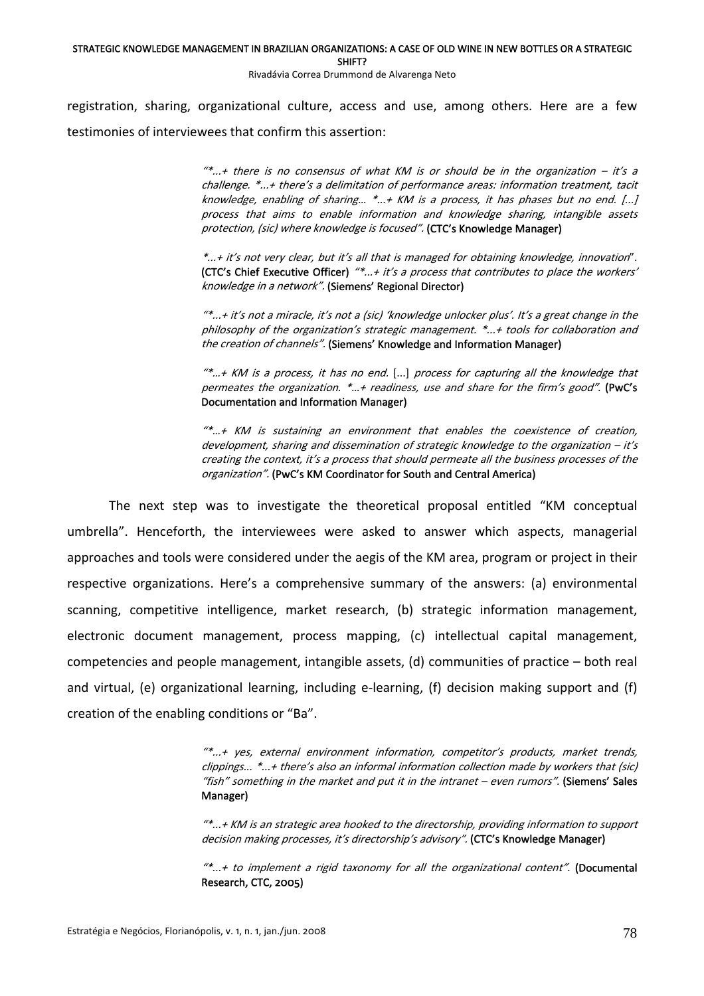SHIFT?

Rivadávia Correa Drummond de Alvarenga Neto

registration, sharing, organizational culture, access and use, among others. Here are a few testimonies of interviewees that confirm this assertion:

> $**...$  there is no consensus of what KM is or should be in the organization  $-$  it's a challenge. \*...+ there's <sup>a</sup> delimitation of performance areas: information treatment, tacit knowledge, enabling of sharing... \*...+ KM is a process, it has phases but no end. [...] process that aims to enable information and knowledge sharing, intangible assets protection, (sic) where knowledge is focused". (CTC's Knowledge Manager)

> \*...+ it's not very clear, but it's all that is managed for obtaining knowledge, innovation". (CTC's Chief Executive Officer)  $''^*...$  it's a process that contributes to place the workers' knowledge in <sup>a</sup> network". (Siemens' Regional Director)

> "\*...+ it's not a miracle, it's not a (sic) 'knowledge unlocker plus'. It's a great change in the  $\,$ philosophy of the organization's strategic management. \*...+ tools for collaboration and the creation of channels". (Siemens' Knowledge and Information Manager)

> $**...$  + KM is a process, it has no end.  $[...]$  process for capturing all the knowledge that permeates the organization.  $*...+$  readiness, use and share for the firm's good". (PwC's Documentation and Information Manager)

> development, sharing and dissemination of strategic knowledge to the organization – it's creating the context, it's a process that should permeate all the business processes of the "\*…+ KM is sustaining an environment that enables the coexistence of creation, organization". (PwC's KM Coordinator for South and Central America)

The next step was to investigate the theoretical proposal entitled "KM conceptual umbrella". Henceforth, the interviewees were asked to answer which aspects, managerial approaches and tools were considered under the aegis of the KM area, program or project in their respective organizations. Here's a comprehensive summary of the answers: (a) environmental scanning, competitive intelligence, market research, (b) strategic information management, electronic document management, process mapping, (c) intellectual capital management, competencies and people management, intangible assets, (d) communities of practice – both real and virtual, (e) organizational learning, including e-learning, (f) decision making support and (f) creation of the enabling conditions or "Ba".

> ) clippings... \*...+ there's also an informal information collection made by workers that (sic "\*...+ yes, external environment information, competitor's products, market trends, "fish" something in the market and put it in the intranet – even rumors". (Siemens' Sales Manager)

> "\*...+ KM is an strategic area hooked to the directorship, providing information to support decision making processes, it's directorship's advisory". (CTC's Knowledge Manager)

> "\*...+ to implement a rigid taxonomy for all the organizational content". (Documental Research, CTC, 2005)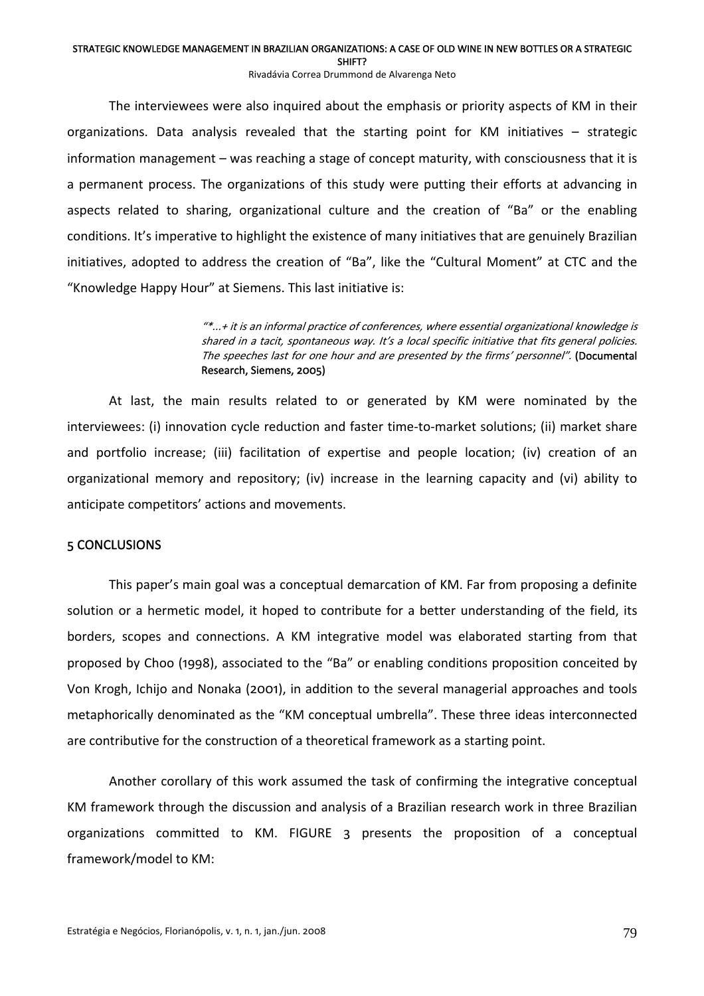Rivadávia Correa Drummond de Alvarenga Neto

The interviewees were also inquired about the emphasis or priority aspects of KM in their organizations. Data analysis revealed that the starting point for KM initiatives – strategic information management – was reaching a stage of concept maturity, with consciousness that it is a permanent process. The organizations of this study were putting their efforts at advancing in aspects related to sharing, organizational culture and the creation of "Ba" or the enabling conditions. It's imperative to highlight the existence of many initiatives that are genuinely Brazilian initiatives, adopted to address the creation of "Ba", like the "Cultural Moment" at CTC and the "Knowledge Happy Hour" at Siemens. This last initiative is:

> $\overset{\llcurlyeq}{\vphantom{\pi}}$   $\ldots$  + it is an informal practice of conferences, where essential organizational knowledge is shared in <sup>a</sup> tacit, spontaneous way. It's <sup>a</sup> local specific initiative that fits general policies. The speeches last for one hour and are presented by the firms' personnel". (Documental Research, Siemens, 2005)

At last, the main results related to or generated by KM were nominated by the interviewees: (i) innovation cycle reduction and faster time-to-market solutions; (ii) market share and portfolio increase; (iii) facilitation of expertise and people location; (iv) creation of an organizational memory and repository; (iv) increase in the learning capacity and (vi) ability to anticipate competitors' actions and movements.

# 5 CONCLUSIONS

This paper's main goal was a conceptual demarcation of KM. Far from proposing a definite solution or a hermetic model, it hoped to contribute for a better understanding of the field, its borders, scopes and connections. A KM integrative model was elaborated starting from that proposed by Choo (1998), associated to the "Ba" or enabling conditions proposition conceited by Von Krogh, Ichijo and Nonaka (2001), in addition to the several managerial approaches and tools metaphorically denominated as the "KM conceptual umbrella". These three ideas interconnected are contributive for the construction of a theoretical framework as a starting point.

Another corollary of this work assumed the task of confirming the integrative conceptual KM framework through the discussion and analysis of a Brazilian research work in three Brazilian organizations committed to KM. FIGURE 3 presents the proposition of a conceptual framework/model to KM: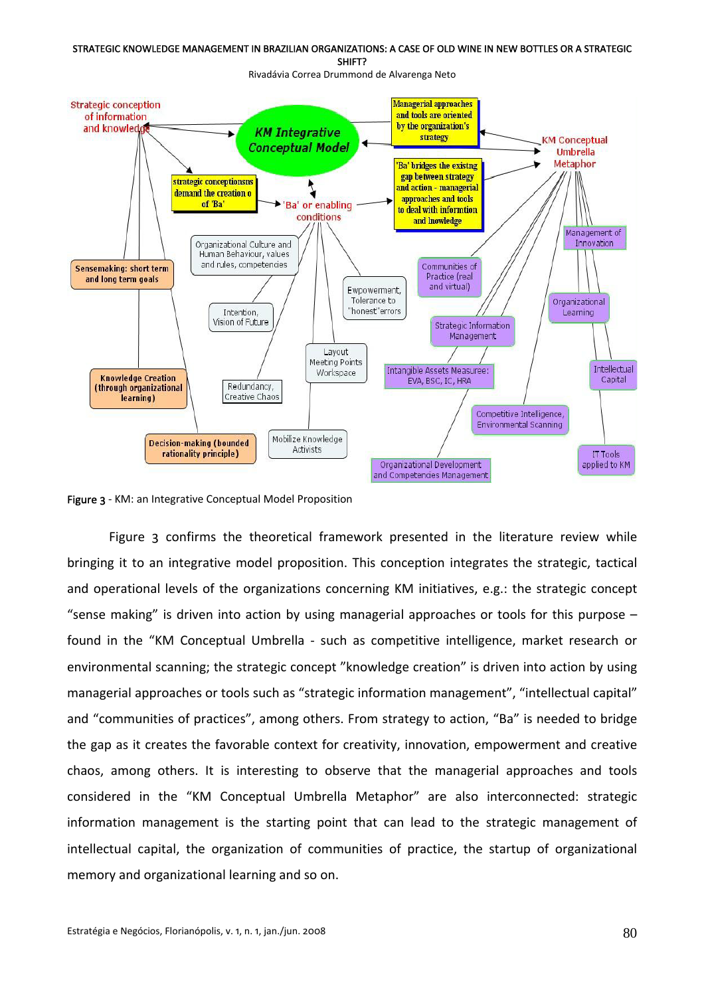



Figure 3 ‐ KM: an Integrative Conceptual Model Proposition

Figure 3 confirms the theoretical framework presented in the literature review while bringing it to an integrative model proposition. This conception integrates the strategic, tactical and operational levels of the organizations concerning KM initiatives, e.g.: the strategic concept "sense making" is driven into action by using managerial approaches or tools for this purpose  $$ found in the "KM Conceptual Umbrella ‐ such as competitive intelligence, market research or environmental scanning; the strategic concept "knowledge creation" is driven into action by using managerial approaches or tools such as "strategic information management", "intellectual capital" and "communities of practices", among others. From strategy to action, "Ba" is needed to bridge the gap as it creates the favorable context for creativity, innovation, empowerment and creative chaos, among others. It is interesting to observe that the managerial approaches and tools considered in the "KM Conceptual Umbrella Metaphor" are also interconnected: strategic information management is the starting point that can lead to the strategic management of intellectual capital, the organization of communities of practice, the startup of organizational memory and organizational learning and so on.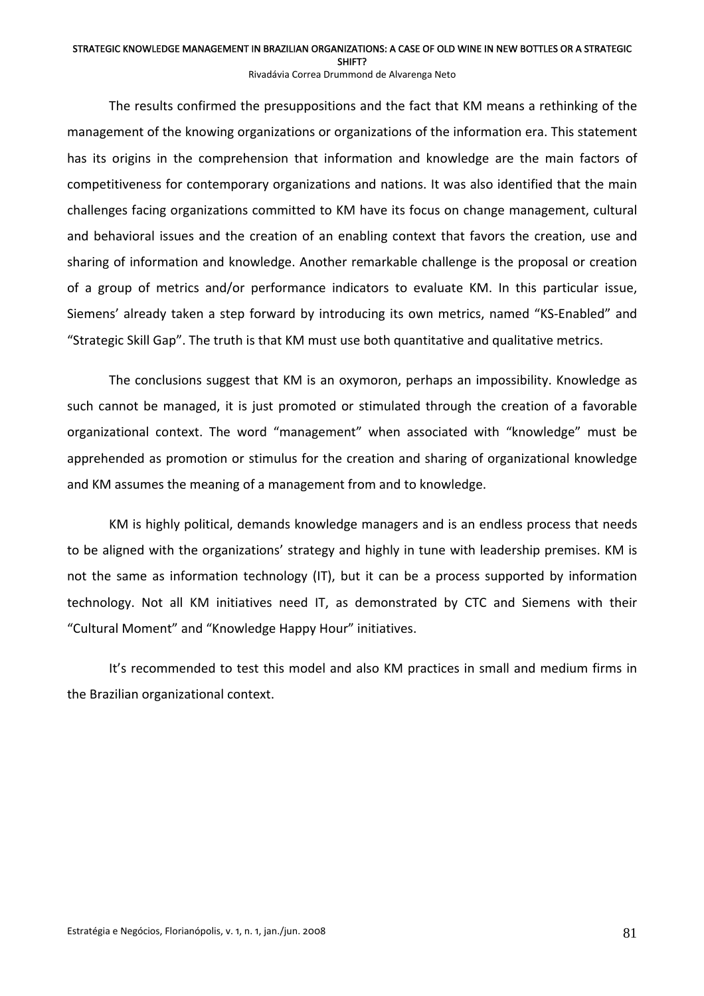SHIFT?

Rivadávia Correa Drummond de Alvarenga Neto

The results confirmed the presuppositions and the fact that KM means a rethinking of the management of the knowing organizations or organizations of the information era. This statement has its origins in the comprehension that information and knowledge are the main factors of competitiveness for contemporary organizations and nations. It was also identified that the main challenges facing organizations committed to KM have its focus on change management, cultural and behavioral issues and the creation of an enabling context that favors the creation, use and sharing of information and knowledge. Another remarkable challenge is the proposal or creation of a group of metrics and/or performance indicators to evaluate KM. In this particular issue, Siemens' already taken a step forward by introducing its own metrics, named "KS‐Enabled" and "Strategic Skill Gap". The truth is that KM must use both quantitative and qualitative metrics.

The conclusions suggest that KM is an oxymoron, perhaps an impossibility. Knowledge as such cannot be managed, it is just promoted or stimulated through the creation of a favorable organizational context. The word "management" when associated with "knowledge" must be apprehended as promotion or stimulus for the creation and sharing of organizational knowledge and KM assumes the meaning of a management from and to knowledge.

KM is highly political, demands knowledge managers and is an endless process that needs to be aligned with the organizations' strategy and highly in tune with leadership premises. KM is not the same as information technology (IT), but it can be a process supported by information technology. Not all KM initiatives need IT, as demonstrated by CTC and Siemens with their "Cultural Moment" and "Knowledge Happy Hour" initiatives.

It's recommended to test this model and also KM practices in small and medium firms in the Brazilian organizational context.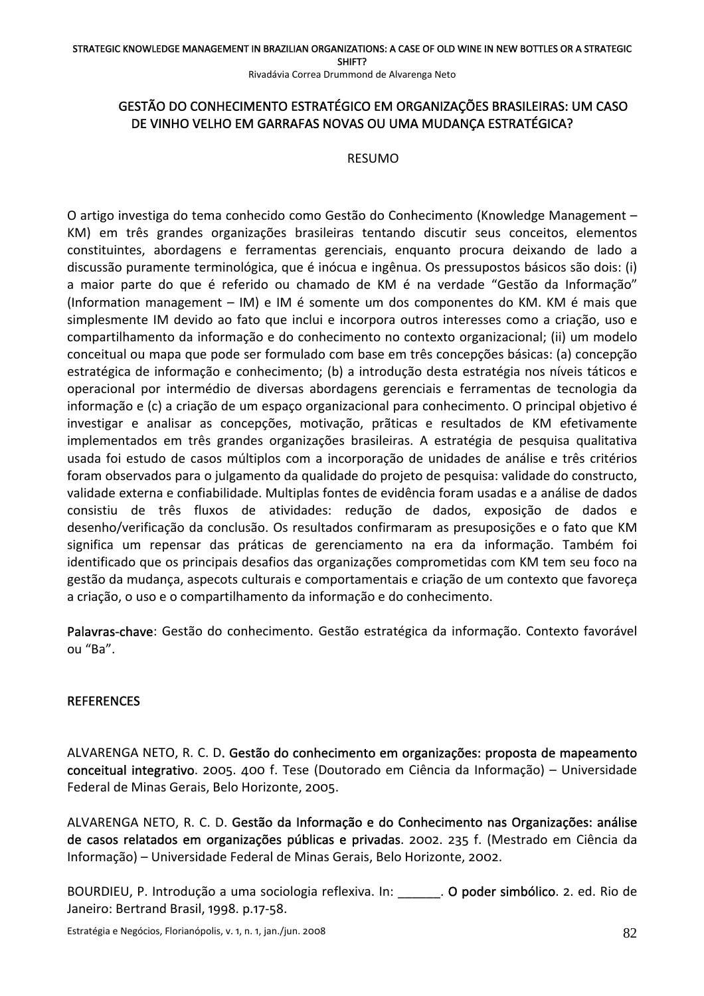Rivadávia Correa Drummond de Alvarenga Neto

# GESTÃO DO CONHECIMENTO ESTRATÉGICO EM ORGANIZAÇÕES BRASILEIRAS: UM CASO DE VINHO VELHO EM GARRAFAS NOVAS OU UMA MUDANÇA ESTRATÉGICA?

### RESUMO

O artigo investiga do tema conhecido como Gestão do Conhecimento (Knowledge Management – KM) em três grandes organizações brasileiras tentando discutir seus conceitos, elementos constituintes, abordagens e ferramentas gerenciais, enquanto procura deixando de lado a discussão puramente terminológica, que é inócua e ingênua. Os pressupostos básicos são dois: (i) a maior parte do que é referido ou chamado de KM é na verdade "Gestão da Informação" (Information management – IM) e IM é somente um dos componentes do KM. KM é mais que simplesmente IM devido ao fato que inclui e incorpora outros interesses como a criação, uso e compartilhamento da informação e do conhecimento no contexto organizacional; (ii) um modelo conceitual ou mapa que pode ser formulado com base em três concepções básicas: (a) concepção estratégica de informação e conhecimento; (b) a introdução desta estratégia nos níveis táticos e operacional por intermédio de diversas abordagens gerenciais e ferramentas de tecnologia da informação e (c) a criação de um espaço organizacional para conhecimento. O principal objetivo é investigar e analisar as concepções, motivação, prãticas e resultados de KM efetivamente implementados em três grandes organizações brasileiras. A estratégia de pesquisa qualitativa usada foi estudo de casos múltiplos com a incorporação de unidades de análise e três critérios foram observados para o julgamento da qualidade do projeto de pesquisa: validade do constructo, validade externa e confiabilidade. Multiplas fontes de evidência foram usadas e a análise de dados consistiu de três fluxos de atividades: redução de dados, exposição de dados e desenho/verificação da conclusão. Os resultados confirmaram as presuposições e o fato que KM significa um repensar das práticas de gerenciamento na era da informação. Também foi identificado que os principais desafios das organizações comprometidas com KM tem seu foco na gestão da mudança, aspecots culturais e comportamentais e criação de um contexto que favoreça a criação, o uso e o compartilhamento da informação e do conhecimento.

Palavras-chave: Gestão do conhecimento. Gestão estratégica da informação. Contexto favorável ou "Ba".

# **REFERENCES**

ALVARENGA NETO, R. C. D. Gestão do conhecimento em organizações: proposta de mapeamento conceitual integrativo. 2005. 400 f. Tese (Doutorado em Ciência da Informação) – Universidade Federal de Minas Gerais, Belo Horizonte, 2005.

ALVARENGA NETO, R. C. D. Gestão da Informação e do Conhecimento nas Organizações: análise de casos relatados em organizações públicas e privadas. 2002. 235 f. (Mestrado em Ciência da Informação) – Universidade Federal de Minas Gerais, Belo Horizonte, 2002.

BOURDIEU, P. Introdução a uma sociologia reflexiva. In: **O poder simbólico**. 2. ed. Rio de Janeiro: Bertrand Brasil, 1998. p.17‐58.

Estratégia e Negócios, Florianópolis, v. 1, n. 1, jan./jun. 2008 **829 any 10. Intervention e a contrary e la contrary e de la contrary e de la contrary e de la contrary e de la contrary e de la contrary e de la contrary e**